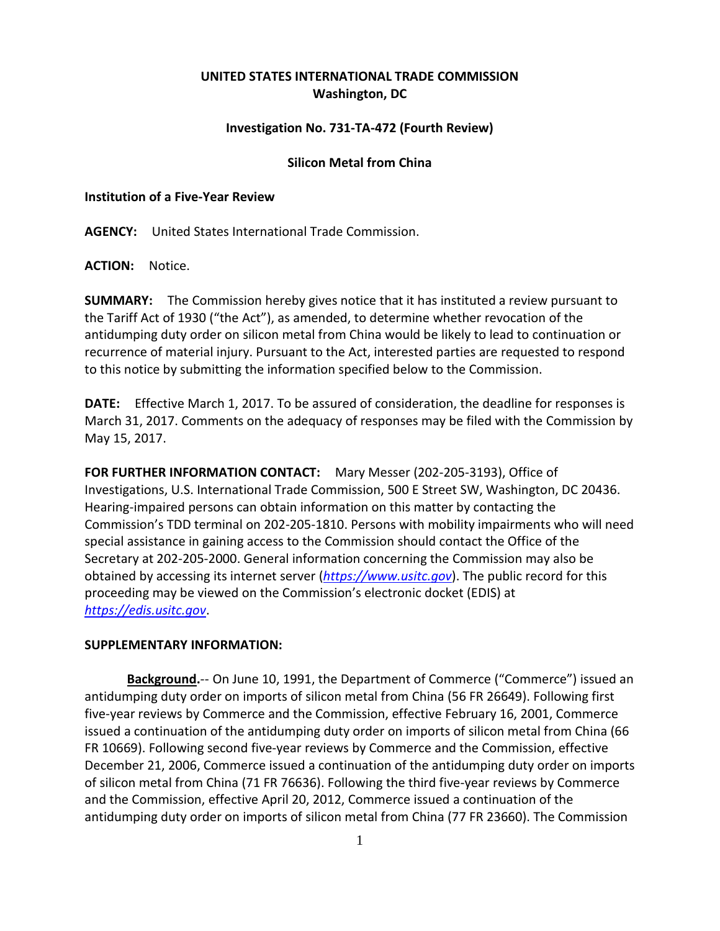# **UNITED STATES INTERNATIONAL TRADE COMMISSION Washington, DC**

## **Investigation No. 731-TA-472 (Fourth Review)**

### **Silicon Metal from China**

### **Institution of a Five-Year Review**

**AGENCY:** United States International Trade Commission.

**ACTION:** Notice.

**SUMMARY:** The Commission hereby gives notice that it has instituted a review pursuant to the Tariff Act of 1930 ("the Act"), as amended, to determine whether revocation of the antidumping duty order on silicon metal from China would be likely to lead to continuation or recurrence of material injury. Pursuant to the Act, interested parties are requested to respond to this notice by submitting the information specified below to the Commission.

**DATE:** Effective March 1, 2017. To be assured of consideration, the deadline for responses is March 31, 2017. Comments on the adequacy of responses may be filed with the Commission by May 15, 2017.

**FOR FURTHER INFORMATION CONTACT:** Mary Messer (202-205-3193), Office of Investigations, U.S. International Trade Commission, 500 E Street SW, Washington, DC 20436. Hearing-impaired persons can obtain information on this matter by contacting the Commission's TDD terminal on 202-205-1810. Persons with mobility impairments who will need special assistance in gaining access to the Commission should contact the Office of the Secretary at 202-205-2000. General information concerning the Commission may also be obtained by accessing its internet server (*[https://www.usitc.gov](https://www.usitc.gov/)*). The public record for this proceeding may be viewed on the Commission's electronic docket (EDIS) at *[https://edis.usitc.gov](https://edis.usitc.gov/)*.

### **SUPPLEMENTARY INFORMATION:**

**Background.**-- On June 10, 1991, the Department of Commerce ("Commerce") issued an antidumping duty order on imports of silicon metal from China (56 FR 26649). Following first five-year reviews by Commerce and the Commission, effective February 16, 2001, Commerce issued a continuation of the antidumping duty order on imports of silicon metal from China (66 FR 10669). Following second five-year reviews by Commerce and the Commission, effective December 21, 2006, Commerce issued a continuation of the antidumping duty order on imports of silicon metal from China (71 FR 76636). Following the third five-year reviews by Commerce and the Commission, effective April 20, 2012, Commerce issued a continuation of the antidumping duty order on imports of silicon metal from China (77 FR 23660). The Commission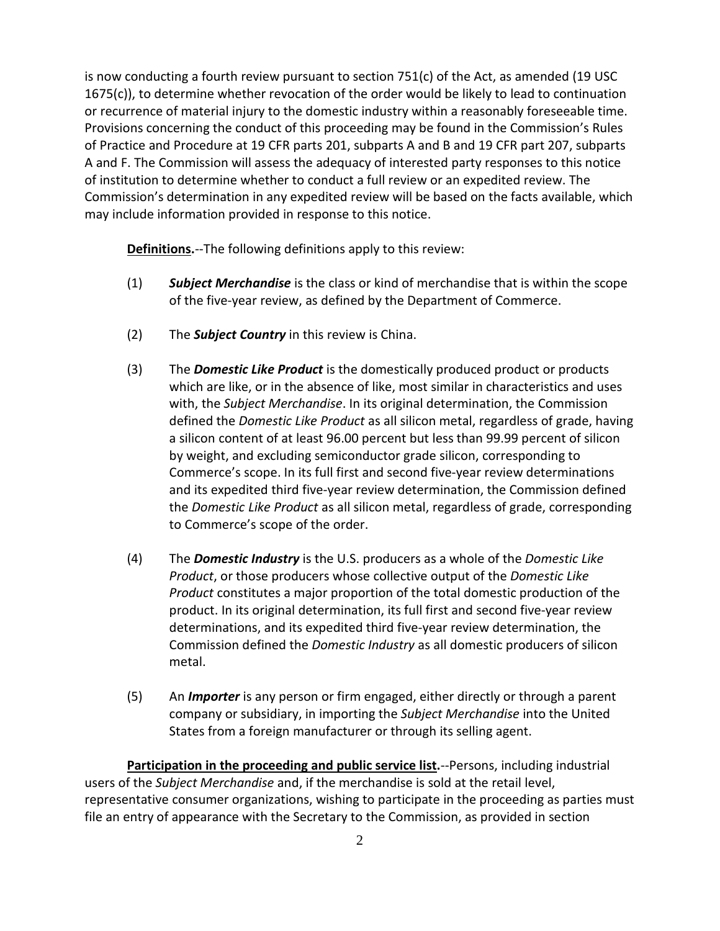is now conducting a fourth review pursuant to section 751(c) of the Act, as amended (19 USC 1675(c)), to determine whether revocation of the order would be likely to lead to continuation or recurrence of material injury to the domestic industry within a reasonably foreseeable time. Provisions concerning the conduct of this proceeding may be found in the Commission's Rules of Practice and Procedure at 19 CFR parts 201, subparts A and B and 19 CFR part 207, subparts A and F. The Commission will assess the adequacy of interested party responses to this notice of institution to determine whether to conduct a full review or an expedited review. The Commission's determination in any expedited review will be based on the facts available, which may include information provided in response to this notice.

**Definitions.**--The following definitions apply to this review:

- (1) *Subject Merchandise* is the class or kind of merchandise that is within the scope of the five-year review, as defined by the Department of Commerce.
- (2) The *Subject Country* in this review is China.
- (3) The *Domestic Like Product* is the domestically produced product or products which are like, or in the absence of like, most similar in characteristics and uses with, the *Subject Merchandise*. In its original determination, the Commission defined the *Domestic Like Product* as all silicon metal, regardless of grade, having a silicon content of at least 96.00 percent but less than 99.99 percent of silicon by weight, and excluding semiconductor grade silicon, corresponding to Commerce's scope. In its full first and second five-year review determinations and its expedited third five-year review determination, the Commission defined the *Domestic Like Product* as all silicon metal, regardless of grade, corresponding to Commerce's scope of the order.
- (4) The *Domestic Industry* is the U.S. producers as a whole of the *Domestic Like Product*, or those producers whose collective output of the *Domestic Like Product* constitutes a major proportion of the total domestic production of the product. In its original determination, its full first and second five-year review determinations, and its expedited third five-year review determination, the Commission defined the *Domestic Industry* as all domestic producers of silicon metal.
- (5) An *Importer* is any person or firm engaged, either directly or through a parent company or subsidiary, in importing the *Subject Merchandise* into the United States from a foreign manufacturer or through its selling agent.

**Participation in the proceeding and public service list.**--Persons, including industrial users of the *Subject Merchandise* and, if the merchandise is sold at the retail level, representative consumer organizations, wishing to participate in the proceeding as parties must file an entry of appearance with the Secretary to the Commission, as provided in section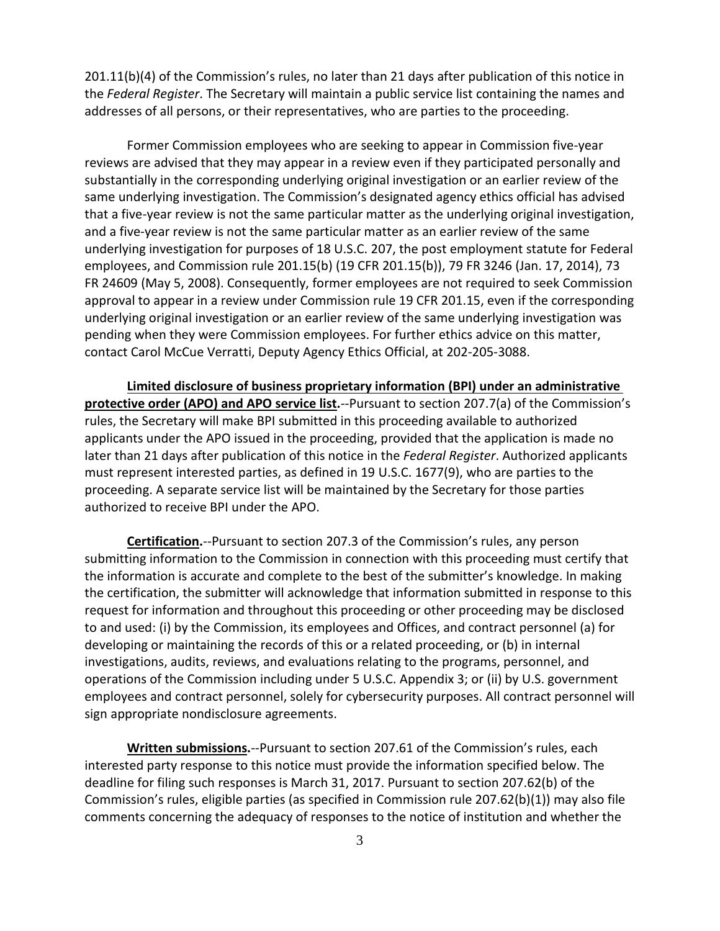201.11(b)(4) of the Commission's rules, no later than 21 days after publication of this notice in the *Federal Register*. The Secretary will maintain a public service list containing the names and addresses of all persons, or their representatives, who are parties to the proceeding.

Former Commission employees who are seeking to appear in Commission five-year reviews are advised that they may appear in a review even if they participated personally and substantially in the corresponding underlying original investigation or an earlier review of the same underlying investigation. The Commission's designated agency ethics official has advised that a five-year review is not the same particular matter as the underlying original investigation, and a five-year review is not the same particular matter as an earlier review of the same underlying investigation for purposes of 18 U.S.C. 207, the post employment statute for Federal employees, and Commission rule 201.15(b) (19 CFR 201.15(b)), 79 FR 3246 (Jan. 17, 2014), 73 FR 24609 (May 5, 2008). Consequently, former employees are not required to seek Commission approval to appear in a review under Commission rule 19 CFR 201.15, even if the corresponding underlying original investigation or an earlier review of the same underlying investigation was pending when they were Commission employees. For further ethics advice on this matter, contact Carol McCue Verratti, Deputy Agency Ethics Official, at 202-205-3088.

**Limited disclosure of business proprietary information (BPI) under an administrative protective order (APO) and APO service list.**--Pursuant to section 207.7(a) of the Commission's rules, the Secretary will make BPI submitted in this proceeding available to authorized applicants under the APO issued in the proceeding, provided that the application is made no later than 21 days after publication of this notice in the *Federal Register*. Authorized applicants must represent interested parties, as defined in 19 U.S.C. 1677(9), who are parties to the proceeding. A separate service list will be maintained by the Secretary for those parties authorized to receive BPI under the APO.

**Certification.**--Pursuant to section 207.3 of the Commission's rules, any person submitting information to the Commission in connection with this proceeding must certify that the information is accurate and complete to the best of the submitter's knowledge. In making the certification, the submitter will acknowledge that information submitted in response to this request for information and throughout this proceeding or other proceeding may be disclosed to and used: (i) by the Commission, its employees and Offices, and contract personnel (a) for developing or maintaining the records of this or a related proceeding, or (b) in internal investigations, audits, reviews, and evaluations relating to the programs, personnel, and operations of the Commission including under 5 U.S.C. Appendix 3; or (ii) by U.S. government employees and contract personnel, solely for cybersecurity purposes. All contract personnel will sign appropriate nondisclosure agreements.

**Written submissions.**--Pursuant to section 207.61 of the Commission's rules, each interested party response to this notice must provide the information specified below. The deadline for filing such responses is March 31, 2017. Pursuant to section 207.62(b) of the Commission's rules, eligible parties (as specified in Commission rule 207.62(b)(1)) may also file comments concerning the adequacy of responses to the notice of institution and whether the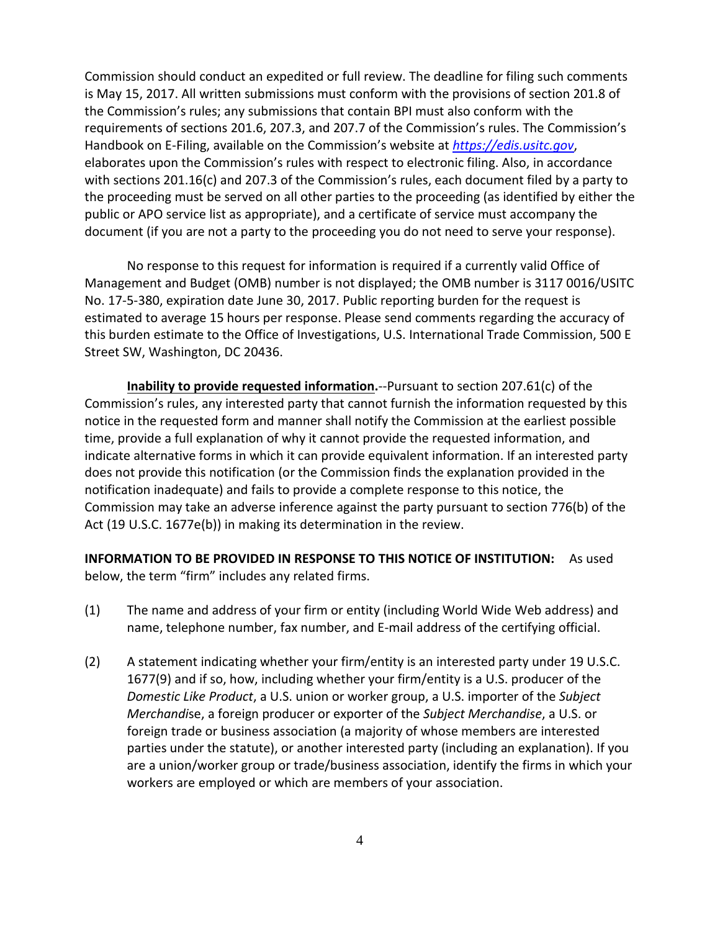Commission should conduct an expedited or full review. The deadline for filing such comments is May 15, 2017. All written submissions must conform with the provisions of section 201.8 of the Commission's rules; any submissions that contain BPI must also conform with the requirements of sections 201.6, 207.3, and 207.7 of the Commission's rules. The Commission's Handbook on E-Filing, available on the Commission's website at *[https://edis.usitc.gov](https://edis.usitc.gov/)*, elaborates upon the Commission's rules with respect to electronic filing. Also, in accordance with sections 201.16(c) and 207.3 of the Commission's rules, each document filed by a party to the proceeding must be served on all other parties to the proceeding (as identified by either the public or APO service list as appropriate), and a certificate of service must accompany the document (if you are not a party to the proceeding you do not need to serve your response).

No response to this request for information is required if a currently valid Office of Management and Budget (OMB) number is not displayed; the OMB number is 3117 0016/USITC No. 17-5-380, expiration date June 30, 2017. Public reporting burden for the request is estimated to average 15 hours per response. Please send comments regarding the accuracy of this burden estimate to the Office of Investigations, U.S. International Trade Commission, 500 E Street SW, Washington, DC 20436.

**Inability to provide requested information.**--Pursuant to section 207.61(c) of the Commission's rules, any interested party that cannot furnish the information requested by this notice in the requested form and manner shall notify the Commission at the earliest possible time, provide a full explanation of why it cannot provide the requested information, and indicate alternative forms in which it can provide equivalent information. If an interested party does not provide this notification (or the Commission finds the explanation provided in the notification inadequate) and fails to provide a complete response to this notice, the Commission may take an adverse inference against the party pursuant to section 776(b) of the Act (19 U.S.C. 1677e(b)) in making its determination in the review.

**INFORMATION TO BE PROVIDED IN RESPONSE TO THIS NOTICE OF INSTITUTION:** As used below, the term "firm" includes any related firms.

- (1) The name and address of your firm or entity (including World Wide Web address) and name, telephone number, fax number, and E-mail address of the certifying official.
- (2) A statement indicating whether your firm/entity is an interested party under 19 U.S.C. 1677(9) and if so, how, including whether your firm/entity is a U.S. producer of the *Domestic Like Product*, a U.S. union or worker group, a U.S. importer of the *Subject Merchandi*se, a foreign producer or exporter of the *Subject Merchandise*, a U.S. or foreign trade or business association (a majority of whose members are interested parties under the statute), or another interested party (including an explanation). If you are a union/worker group or trade/business association, identify the firms in which your workers are employed or which are members of your association.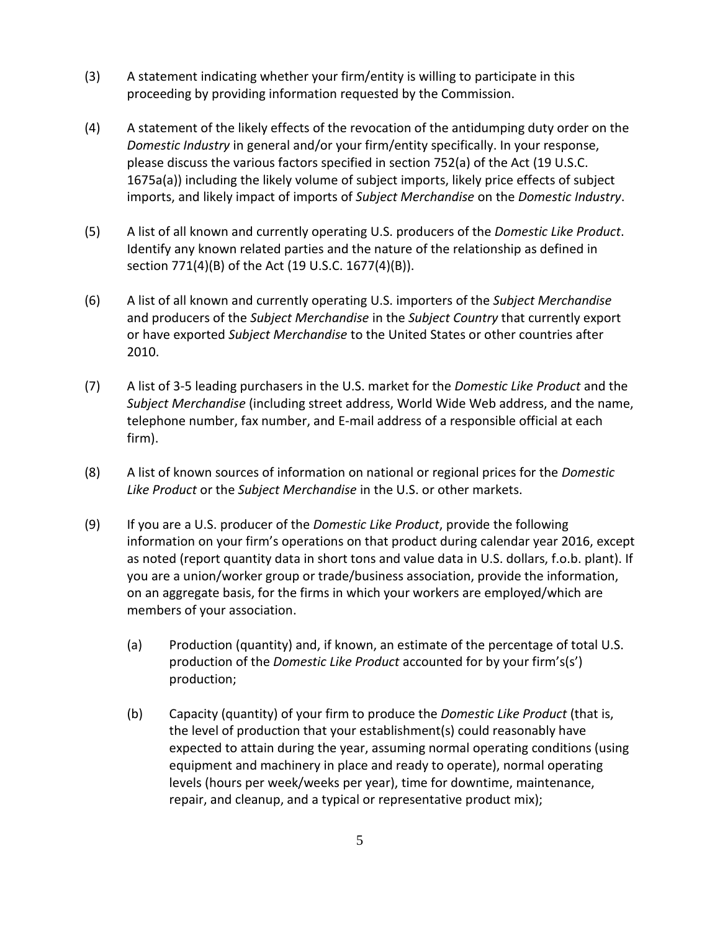- (3) A statement indicating whether your firm/entity is willing to participate in this proceeding by providing information requested by the Commission.
- (4) A statement of the likely effects of the revocation of the antidumping duty order on the *Domestic Industry* in general and/or your firm/entity specifically. In your response, please discuss the various factors specified in section 752(a) of the Act (19 U.S.C. 1675a(a)) including the likely volume of subject imports, likely price effects of subject imports, and likely impact of imports of *Subject Merchandise* on the *Domestic Industry*.
- (5) A list of all known and currently operating U.S. producers of the *Domestic Like Product*. Identify any known related parties and the nature of the relationship as defined in section 771(4)(B) of the Act (19 U.S.C. 1677(4)(B)).
- (6) A list of all known and currently operating U.S. importers of the *Subject Merchandise* and producers of the *Subject Merchandise* in the *Subject Country* that currently export or have exported *Subject Merchandise* to the United States or other countries after 2010.
- (7) A list of 3-5 leading purchasers in the U.S. market for the *Domestic Like Product* and the *Subject Merchandise* (including street address, World Wide Web address, and the name, telephone number, fax number, and E-mail address of a responsible official at each firm).
- (8) A list of known sources of information on national or regional prices for the *Domestic Like Product* or the *Subject Merchandise* in the U.S. or other markets.
- (9) If you are a U.S. producer of the *Domestic Like Product*, provide the following information on your firm's operations on that product during calendar year 2016, except as noted (report quantity data in short tons and value data in U.S. dollars, f.o.b. plant). If you are a union/worker group or trade/business association, provide the information, on an aggregate basis, for the firms in which your workers are employed/which are members of your association.
	- (a) Production (quantity) and, if known, an estimate of the percentage of total U.S. production of the *Domestic Like Product* accounted for by your firm's(s') production;
	- (b) Capacity (quantity) of your firm to produce the *Domestic Like Product* (that is, the level of production that your establishment(s) could reasonably have expected to attain during the year, assuming normal operating conditions (using equipment and machinery in place and ready to operate), normal operating levels (hours per week/weeks per year), time for downtime, maintenance, repair, and cleanup, and a typical or representative product mix);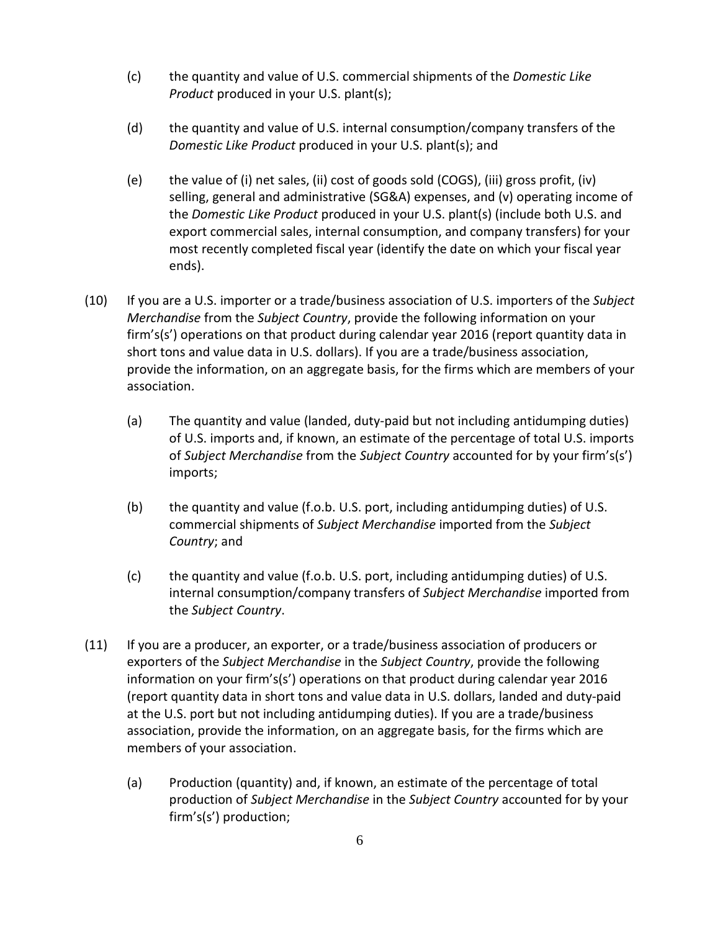- (c) the quantity and value of U.S. commercial shipments of the *Domestic Like Product* produced in your U.S. plant(s);
- (d) the quantity and value of U.S. internal consumption/company transfers of the *Domestic Like Product* produced in your U.S. plant(s); and
- (e) the value of (i) net sales, (ii) cost of goods sold (COGS), (iii) gross profit, (iv) selling, general and administrative (SG&A) expenses, and (v) operating income of the *Domestic Like Product* produced in your U.S. plant(s) (include both U.S. and export commercial sales, internal consumption, and company transfers) for your most recently completed fiscal year (identify the date on which your fiscal year ends).
- (10) If you are a U.S. importer or a trade/business association of U.S. importers of the *Subject Merchandise* from the *Subject Country*, provide the following information on your firm's(s') operations on that product during calendar year 2016 (report quantity data in short tons and value data in U.S. dollars). If you are a trade/business association, provide the information, on an aggregate basis, for the firms which are members of your association.
	- (a) The quantity and value (landed, duty-paid but not including antidumping duties) of U.S. imports and, if known, an estimate of the percentage of total U.S. imports of *Subject Merchandise* from the *Subject Country* accounted for by your firm's(s') imports;
	- (b) the quantity and value (f.o.b. U.S. port, including antidumping duties) of U.S. commercial shipments of *Subject Merchandise* imported from the *Subject Country*; and
	- (c) the quantity and value (f.o.b. U.S. port, including antidumping duties) of U.S. internal consumption/company transfers of *Subject Merchandise* imported from the *Subject Country*.
- (11) If you are a producer, an exporter, or a trade/business association of producers or exporters of the *Subject Merchandise* in the *Subject Country*, provide the following information on your firm's(s') operations on that product during calendar year 2016 (report quantity data in short tons and value data in U.S. dollars, landed and duty-paid at the U.S. port but not including antidumping duties). If you are a trade/business association, provide the information, on an aggregate basis, for the firms which are members of your association.
	- (a) Production (quantity) and, if known, an estimate of the percentage of total production of *Subject Merchandise* in the *Subject Country* accounted for by your firm's(s') production;